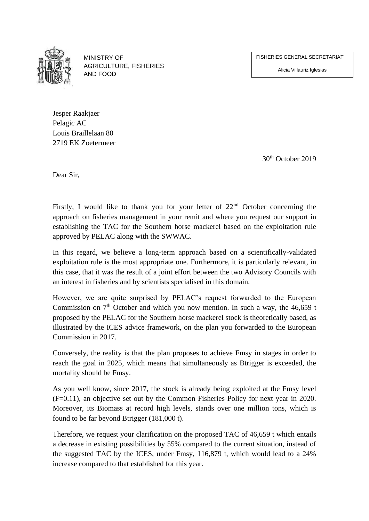FISHERIES GENERAL SECRETARIAT

Alicia Villauriz Iglesias



MINISTRY OF AGRICULTURE, FISHERIES AND FOOD

Jesper Raakjaer Pelagic AC Louis Braillelaan 80 2719 EK Zoetermeer

30th October 2019

Dear Sir,

Firstly, I would like to thank you for your letter of 22<sup>nd</sup> October concerning the approach on fisheries management in your remit and where you request our support in establishing the TAC for the Southern horse mackerel based on the exploitation rule approved by PELAC along with the SWWAC.

In this regard, we believe a long-term approach based on a scientifically-validated exploitation rule is the most appropriate one. Furthermore, it is particularly relevant, in this case, that it was the result of a joint effort between the two Advisory Councils with an interest in fisheries and by scientists specialised in this domain.

However, we are quite surprised by PELAC's request forwarded to the European Commission on  $7<sup>th</sup>$  October and which you now mention. In such a way, the 46,659 t proposed by the PELAC for the Southern horse mackerel stock is theoretically based, as illustrated by the ICES advice framework, on the plan you forwarded to the European Commission in 2017.

Conversely, the reality is that the plan proposes to achieve Fmsy in stages in order to reach the goal in 2025, which means that simultaneously as Btrigger is exceeded, the mortality should be Fmsy.

As you well know, since 2017, the stock is already being exploited at the Fmsy level (F=0.11), an objective set out by the Common Fisheries Policy for next year in 2020. Moreover, its Biomass at record high levels, stands over one million tons, which is found to be far beyond Btrigger (181,000 t).

Therefore, we request your clarification on the proposed TAC of 46,659 t which entails a decrease in existing possibilities by 55% compared to the current situation, instead of the suggested TAC by the ICES, under Fmsy, 116,879 t, which would lead to a 24% increase compared to that established for this year.